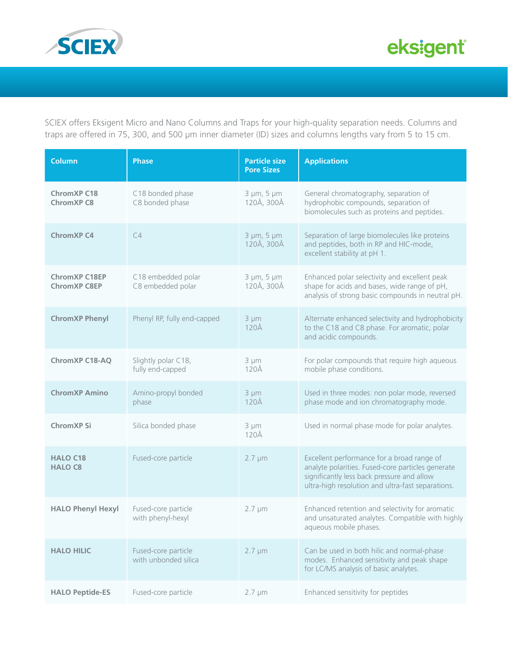

SCIEX offers Eksigent Micro and Nano Columns and Traps for your high-quality separation needs. Columns and traps are offered in 75, 300, and 500 µm inner diameter (ID) sizes and columns lengths vary from 5 to 15 cm.

| <b>Column</b>                               | <b>Phase</b>                                | <b>Particle size</b><br><b>Pore Sizes</b> | <b>Applications</b>                                                                                                                                                                                |
|---------------------------------------------|---------------------------------------------|-------------------------------------------|----------------------------------------------------------------------------------------------------------------------------------------------------------------------------------------------------|
| <b>ChromXP C18</b><br><b>ChromXP C8</b>     | C18 bonded phase<br>C8 bonded phase         | $3 \mu m$ , $5 \mu m$<br>120Å, 300Å       | General chromatography, separation of<br>hydrophobic compounds, separation of<br>biomolecules such as proteins and peptides.                                                                       |
| <b>ChromXP C4</b>                           | C4                                          | $3 \mu m$ , $5 \mu m$<br>120Å, 300Å       | Separation of large biomolecules like proteins<br>and peptides, both in RP and HIC-mode,<br>excellent stability at pH 1.                                                                           |
| <b>ChromXP C18EP</b><br><b>ChromXP C8EP</b> | C18 embedded polar<br>C8 embedded polar     | 3 µm, 5 µm<br>120Å, 300Å                  | Enhanced polar selectivity and excellent peak<br>shape for acids and bases, wide range of pH,<br>analysis of strong basic compounds in neutral pH.                                                 |
| <b>ChromXP Phenyl</b>                       | Phenyl RP, fully end-capped                 | $3 \mu m$<br>$120\text{\AA}$              | Alternate enhanced selectivity and hydrophobicity<br>to the C18 and C8 phase. For aromatic, polar<br>and acidic compounds.                                                                         |
| <b>ChromXP C18-AQ</b>                       | Slightly polar C18,<br>fully end-capped     | 3 µm<br>120Å                              | For polar compounds that require high aqueous<br>mobile phase conditions.                                                                                                                          |
| <b>ChromXP Amino</b>                        | Amino-propyl bonded<br>phase                | $3 \mu m$<br>$120\text{\AA}$              | Used in three modes: non polar mode, reversed<br>phase mode and ion chromatography mode.                                                                                                           |
| ChromXP Si                                  | Silica bonded phase                         | $3 \mu m$<br>120Å                         | Used in normal phase mode for polar analytes.                                                                                                                                                      |
| <b>HALO C18</b><br><b>HALO C8</b>           | Fused-core particle                         | $2.7 \mu m$                               | Excellent performance for a broad range of<br>analyte polarities. Fused-core particles generate<br>significantly less back pressure and allow<br>ultra-high resolution and ultra-fast separations. |
| <b>HALO Phenyl Hexyl</b>                    | Fused-core particle<br>with phenyl-hexyl    | $2.7 \mu m$                               | Enhanced retention and selectivity for aromatic<br>and unsaturated analytes. Compatible with highly<br>aqueous mobile phases.                                                                      |
| <b>HALO HILIC</b>                           | Fused-core particle<br>with unbonded silica | $2.7 \mu m$                               | Can be used in both hilic and normal-phase<br>modes. Enhanced sensitivity and peak shape<br>for LC/MS analysis of basic analytes.                                                                  |
| <b>HALO Peptide-ES</b>                      | Fused-core particle                         | $2.7 \mu m$                               | Enhanced sensitivity for peptides                                                                                                                                                                  |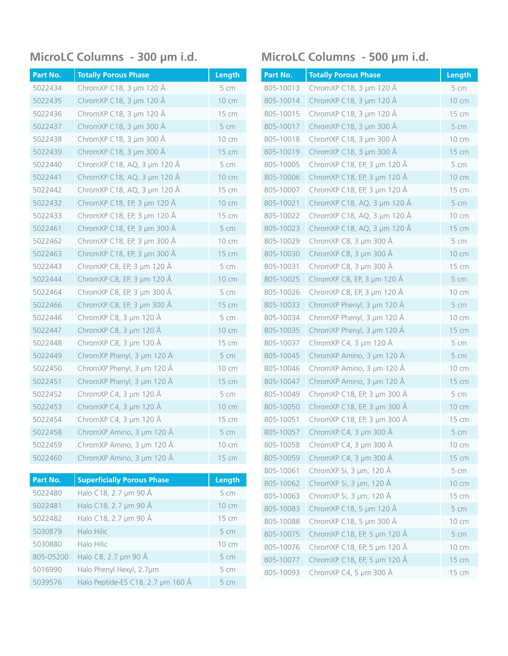| Part No. | <b>Totally Porous Phase</b> | Length |
|----------|-----------------------------|--------|
| 5022434  | ChromXP C18, 3 µm 120 Å     | 5 cm   |
| 5022435  | ChromXP C18, 3 µm 120 Å     | 10 cm  |
| 5022436  | ChromXP C18, 3 µm 120 Å     | 15 cm  |
| 5022437  | ChromXP C18, 3 µm 300 Å     | 5 cm   |
| 5022438  | ChromXP C18, 3 µm 300 Å     | 10 cm  |
| 5022439  | ChromXP C18, 3 µm 300 Å     | 15 cm  |
| 5022440  | ChromXP C18, AQ, 3 µm 120 Å | 5 cm   |
| 5022441  | ChromXP C18, AQ, 3 µm 120 Å | 10 cm  |
| 5022442  | ChromXP C18, AQ, 3 µm 120 Å | 15 cm  |
| 5022432  | ChromXP C18, EP, 3 µm 120 Å | 10 cm  |
| 5022433  | ChromXP C18, EP, 3 µm 120 Å | 15 cm  |
| 5022461  | ChromXP C18, EP, 3 µm 300 Å | 5 cm   |
| 5022462  | ChromXP C18, EP, 3 µm 300 Å | 10 cm  |
| 5022463  | ChromXP C18, EP, 3 µm 300 Å | 15 cm  |
| 5022443  | ChromXP C8, EP, 3 µm 120 Å  | 5 cm   |
| 5022444  | ChromXP C8, EP, 3 µm 120 Å  | 10 cm  |
| 5022464  | ChromXP C8, EP, 3 µm 300 Å  | 5 cm   |
| 5022466  | ChromXP C8, EP, 3 µm 300 Å  | 15 cm  |
| 5022446  | ChromXP C8, 3 µm 120 Å      | 5cm    |
| 5022447  | ChromXP C8, 3 µm 120 Å      | 10 cm  |
| 5022448  | ChromXP C8, 3 µm 120 Å      | 15 cm  |
| 5022449  | ChromXP Phenyl, 3 µm 120 Å  | 5 cm   |
| 5022450  | ChromXP Phenyl, 3 µm 120 Å  | 10 cm  |
| 5022451  | ChromXP Phenyl, 3 µm 120 Å  | 15 cm  |
| 5022452  | ChromXP C4, 3 µm 120 Å      | 5 cm   |
| 5022453  | ChromXP C4, 3 µm 120 Å      | 10 cm  |
| 5022454  | ChromXP C4, 3 µm 120 Å      | 15 cm  |
| 5022458  | ChromXP Amino, 3 µm 120 Å   | 5 cm   |
| 5022459  | ChromXP Amino, 3 µm 120 Å   | 10 cm  |
| 5022460  | ChromXP Amino, 3 µm 120 Å   | 15 cm  |

| Part No.  | <b>Superficially Porous Phase</b> | Length          |
|-----------|-----------------------------------|-----------------|
| 5022480   | Halo C18, 2.7 µm 90 Å             | 5 cm            |
| 5022481   | Halo C18, 2.7 µm 90 Å             | $10 \text{ cm}$ |
| 5022482   | Halo C18, 2.7 µm 90 Å             | 15 cm           |
| 5030879   | Halo Hilic                        | 5 cm            |
| 5030880   | Halo Hilic                        | $10 \text{ cm}$ |
| 805-05200 | Halo C8, 2.7 µm 90 Å              | 5 cm            |
| 5016990   | Halo Phenyl Hexyl, 2.7µm          | 5 cm            |
| 5039576   | Halo Peptide-ES C18, 2.7 µm 160 Å | 5 cm            |

### **MicroLC Columns - 300 µm i.d. MicroLC Columns - 500 µm i.d.**

| Part No.  | <b>Totally Porous Phase</b> | Length |
|-----------|-----------------------------|--------|
| 805-10013 | ChromXP C18, 3 µm 120 Å     | 5 cm   |
| 805-10014 | ChromXP C18, 3 µm 120 Å     | 10 cm  |
| 805-10015 | ChromXP C18, 3 µm 120 Å     | 15 cm  |
| 805-10017 | ChromXP C18, 3 µm 300 Å     | 5 cm   |
| 805-10018 | ChromXP C18, 3 µm 300 Å     | 10 cm  |
| 805-10019 | ChromXP C18, 3 µm 300 Å     | 15 cm  |
| 805-10005 | ChromXP C18, EP, 3 µm 120 Å | 5 cm   |
| 805-10006 | ChromXP C18, EP, 3 µm 120 Å | 10 cm  |
| 805-10007 | ChromXP C18, EP, 3 µm 120 Å | 15 cm  |
| 805-10021 | ChromXP C18, AQ, 3 µm 120 Å | 5 cm   |
| 805-10022 | ChromXP C18, AQ, 3 µm 120 Å | 10 cm  |
| 805-10023 | ChromXP C18, AQ, 3 µm 120 Å | 15 cm  |
| 805-10029 | ChromXP C8, 3 µm 300 Å      | 5 cm   |
| 805-10030 | ChromXP C8, 3 µm 300 Å      | 10 cm  |
| 805-10031 | ChromXP C8, 3 µm 300 Å      | 15 cm  |
| 805-10025 | ChromXP C8, EP, 3 µm 120 Å  | 5 cm   |
| 805-10026 | ChromXP C8, EP, 3 µm 120 Å  | 10 cm  |
| 805-10033 | ChromXP Phenyl, 3 µm 120 Å  | 5 cm   |
| 805-10034 | ChromXP Phenyl, 3 µm 120 Å  | 10 cm  |
| 805-10035 | ChromXP Phenyl, 3 µm 120 Å  | 15 cm  |
| 805-10037 | ChromXP C4, 3 µm 120 Å      | 5 cm   |
| 805-10045 | ChromXP Amino, 3 µm 120 Å   | 5 cm   |
| 805-10046 | ChromXP Amino, 3 µm 120 Å   | 10 cm  |
| 805-10047 | ChromXP Amino, 3 µm 120 Å   | 15 cm  |
| 805-10049 | ChromXP C18, EP, 3 µm 300 Å | 5 cm   |
| 805-10050 | ChromXP C18, EP, 3 µm 300 Å | 10 cm  |
| 805-10051 | ChromXP C18, EP, 3 µm 300 Å | 15 cm  |
| 805-10057 | ChromXP C4, 3 µm 300 Å      | 5 cm   |
| 805-10058 | ChromXP C4, 3 µm 300 Å      | 10 cm  |
| 805-10059 | ChromXP C4, 3 µm 300 Å      | 15 cm  |
| 805-10061 | ChromXP Si, 3 µm, 120 Å     | 5 cm   |
| 805-10062 | ChromXP Si, 3 µm, 120 Å     | 10 cm  |
| 805-10063 | ChromXP Si, 3 µm, 120 Å     | 15 cm  |
| 805-10083 | ChromXP C18, 5 µm 120 Å     | 5 cm   |
| 805-10088 | ChromXP C18, 5 µm 300 Å     | 10 cm  |
| 805-10075 | ChromXP C18, EP, 5 µm 120 Å | 5 cm   |
| 805-10076 | ChromXP C18, EP, 5 µm 120 Å | 10 cm  |
| 805-10077 | ChromXP C18, EP, 5 µm 120 Å | 15 cm  |
| 805-10093 | ChromXP C4, 5 µm 300 Å      | 15 cm  |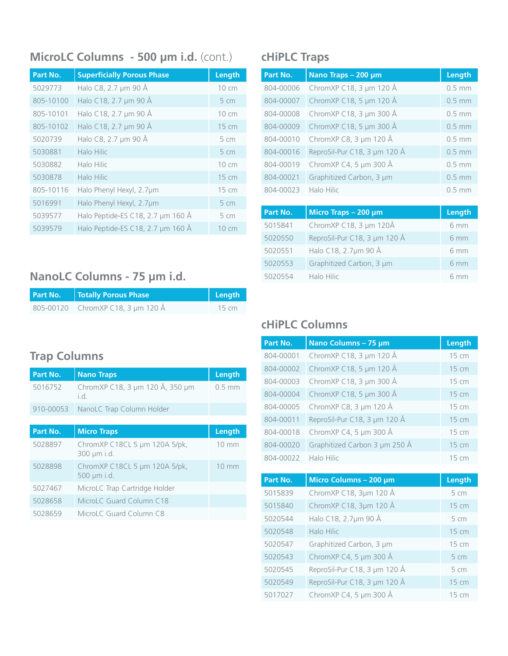## **MicroLC Columns - 500 µm i.d.** (cont.) **cHiPLC Traps**

| Part No.  | <b>Superficially Porous Phase</b> | Length          |
|-----------|-----------------------------------|-----------------|
| 5029773   | Halo C8, 2.7 µm 90 Å              | 10 cm           |
| 805-10100 | Halo C18, 2.7 µm 90 Å             | 5 cm            |
| 805-10101 | Halo C18, 2.7 µm 90 Å             | 10 cm           |
| 805-10102 | Halo C18, 2.7 µm 90 Å             | 15 cm           |
| 5020739   | Halo C8, 2.7 µm 90 Å              | 5 cm            |
| 5030881   | Halo Hilic                        | 5 cm            |
| 5030882   | Halo Hilic                        | $10 \text{ cm}$ |
| 5030878   | Halo Hilic                        | 15 cm           |
| 805-10116 | Halo Phenyl Hexyl, 2.7µm          | 15 cm           |
| 5016991   | Halo Phenyl Hexyl, 2.7µm          | 5 cm            |
| 5039577   | Halo Peptide-ES C18, 2.7 µm 160 Å | 5 cm            |
| 5039579   | Halo Peptide-ES C18, 2.7 µm 160 Å | $10 \text{ cm}$ |

# **NanoLC Columns - 75 µm i.d.**

| Part No. | Totally Porous Phase              | Length            |
|----------|-----------------------------------|-------------------|
|          | 805-00120 ChromXP C18, 3 µm 120 Å | $15 \, \text{cm}$ |

## **Trap Columns**

| Part No. | Nano Traps                                      | Length   |
|----------|-------------------------------------------------|----------|
|          | 5016752 ChromXP C18, 3 μm 120 Å, 350 μm<br>i d. | $0.5$ mm |
|          | 910-00053 NanoLC Trap Column Holder             |          |
|          |                                                 |          |

| Part No. | <b>Micro Traps</b>                           | Length          |
|----------|----------------------------------------------|-----------------|
| 5028897  | ChromXP C18CL 5 µm 120A 5/pk,<br>300 µm i.d. | $10 \text{ mm}$ |
| 5028898  | ChromXP C18CL 5 µm 120A 5/pk,<br>500 µm i.d. | $10 \text{ mm}$ |
| 5027467  | MicroLC Trap Cartridge Holder                |                 |
| 5028658  | MicroLC Guard Column C18                     |                 |
| 5028659  | MicroLC Guard Column C8                      |                 |

| Part No.  | Nano Traps - 200 µm          | Length   |
|-----------|------------------------------|----------|
| 804-00006 | ChromXP C18, 3 µm 120 Å      | $0.5$ mm |
| 804-00007 | ChromXP C18, 5 µm 120 Å      | $0.5$ mm |
| 804-00008 | ChromXP C18, 3 µm 300 Å      | $0.5$ mm |
| 804-00009 | ChromXP C18, 5 µm 300 Å      | $0.5$ mm |
| 804-00010 | ChromXP C8, 3 µm 120 Å       | $0.5$ mm |
| 804-00016 | ReproSil-Pur C18, 3 µm 120 Å | $0.5$ mm |
| 804-00019 | ChromXP C4, 5 µm 300 Å       | $0.5$ mm |
| 804-00021 | Graphitized Carbon, 3 µm     | $0.5$ mm |
| 804-00023 | Halo Hilic                   | $0.5$ mm |

| Part No. | Micro Traps $-200 \mu m$     | Length |
|----------|------------------------------|--------|
| 5015841  | ChromXP C18, 3 µm 120Å       | 6 mm   |
| 5020550  | ReproSil-Pur C18, 3 µm 120 Å | 6 mm   |
| 5020551  | Halo C18, 2.7µm 90 Å         | 6 mm   |
| 5020553  | Graphitized Carbon, 3 µm     | 6 mm   |
| 5020554  | Halo Hilic                   | 6 mm   |

## **cHiPLC Columns**

| Part No.  | Nano Columns - 75 µm          | Length |
|-----------|-------------------------------|--------|
| 804-00001 | ChromXP C18, 3 µm 120 Å       | 15 cm  |
| 804-00002 | ChromXP C18, 5 µm 120 Å       | 15 cm  |
| 804-00003 | ChromXP C18, 3 µm 300 Å       | 15 cm  |
| 804-00004 | ChromXP C18, 5 µm 300 Å       | 15 cm  |
| 804-00005 | ChromXP C8, 3 µm 120 Å        | 15 cm  |
| 804-00011 | ReproSil-Pur C18, 3 µm 120 Å  | 15 cm  |
| 804-00018 | ChromXP C4, 5 µm 300 Å        | 15 cm  |
| 804-00020 | Graphitized Carbon 3 µm 250 Å | 15 cm  |
| 804-00022 | Halo Hilic                    | 15 cm  |
|           |                               |        |
| Part No.  | Micro Columns - 200 µm        | Length |
| 5015839   | ChromXP C18, 3µm 120 Å        | 5 cm   |
| 5015840   | ChromXP C18, 3µm 120 Å        | 15 cm  |
| 5020544   | Halo C18, 2.7µm 90 Å          | 5 cm   |
| 5020548   | Halo Hilic                    | 15 cm  |
| 5020547   | Graphitized Carbon, 3 µm      | 15 cm  |
| 5020543   | ChromXP C4, 5 µm 300 Å        | 5 cm   |
| 5020545   | ReproSil-Pur C18, 3 µm 120 Å  | 5 cm   |
| 5020549   | ReproSil-Pur C18, 3 µm 120 Å  | 15 cm  |
| 5017027   | ChromXP C4, 5 µm 300 Å        | 15 cm  |